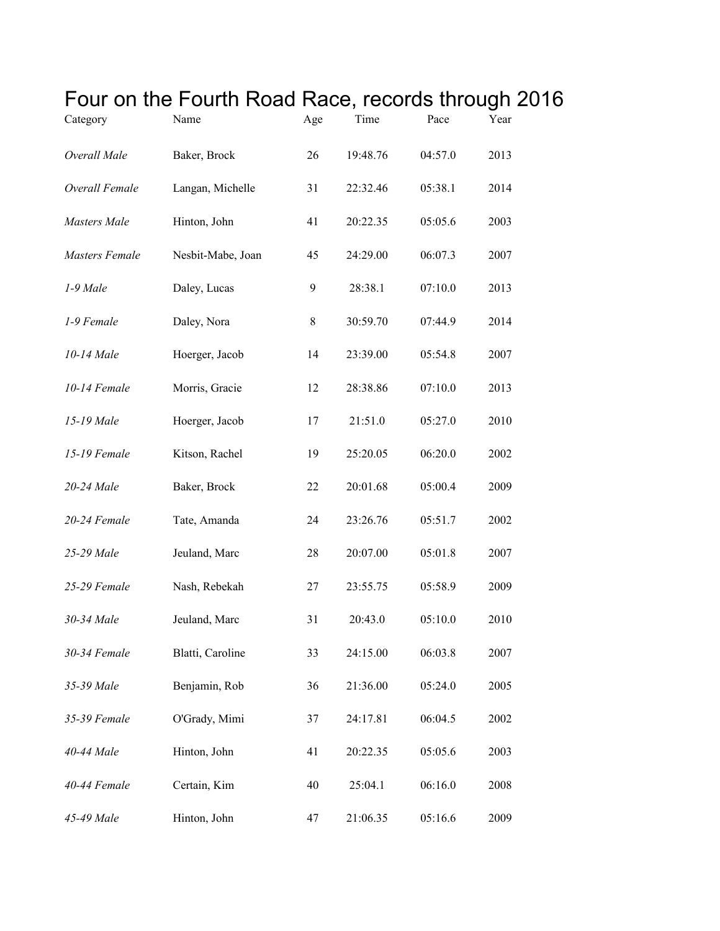| Category              | Four on the Fourth Road Race, records through 20<br>Name | Age | Time     | Pace    | Year |
|-----------------------|----------------------------------------------------------|-----|----------|---------|------|
| Overall Male          | Baker, Brock                                             | 26  | 19:48.76 | 04:57.0 | 2013 |
| Overall Female        | Langan, Michelle                                         | 31  | 22:32.46 | 05:38.1 | 2014 |
| <b>Masters</b> Male   | Hinton, John                                             | 41  | 20:22.35 | 05:05.6 | 2003 |
| <b>Masters Female</b> | Nesbit-Mabe, Joan                                        | 45  | 24:29.00 | 06:07.3 | 2007 |
| 1-9 Male              | Daley, Lucas                                             | 9   | 28:38.1  | 07:10.0 | 2013 |
| 1-9 Female            | Daley, Nora                                              | 8   | 30:59.70 | 07:44.9 | 2014 |
| 10-14 Male            | Hoerger, Jacob                                           | 14  | 23:39.00 | 05:54.8 | 2007 |
| 10-14 Female          | Morris, Gracie                                           | 12  | 28:38.86 | 07:10.0 | 2013 |
| 15-19 Male            | Hoerger, Jacob                                           | 17  | 21:51.0  | 05:27.0 | 2010 |
| 15-19 Female          | Kitson, Rachel                                           | 19  | 25:20.05 | 06:20.0 | 2002 |
| 20-24 Male            | Baker, Brock                                             | 22  | 20:01.68 | 05:00.4 | 2009 |
| 20-24 Female          | Tate, Amanda                                             | 24  | 23:26.76 | 05:51.7 | 2002 |
| 25-29 Male            | Jeuland, Marc                                            | 28  | 20:07.00 | 05:01.8 | 2007 |
| 25-29 Female          | Nash, Rebekah                                            | 27  | 23:55.75 | 05:58.9 | 2009 |
| 30-34 Male            | Jeuland, Marc                                            | 31  | 20:43.0  | 05:10.0 | 2010 |
| 30-34 Female          | Blatti, Caroline                                         | 33  | 24:15.00 | 06:03.8 | 2007 |
| 35-39 Male            | Benjamin, Rob                                            | 36  | 21:36.00 | 05:24.0 | 2005 |
| 35-39 Female          | O'Grady, Mimi                                            | 37  | 24:17.81 | 06:04.5 | 2002 |
| 40-44 Male            | Hinton, John                                             | 41  | 20:22.35 | 05:05.6 | 2003 |
| 40-44 Female          | Certain, Kim                                             | 40  | 25:04.1  | 06:16.0 | 2008 |
| 45-49 Male            | Hinton, John                                             | 47  | 21:06.35 | 05:16.6 | 2009 |

## Four on the Fourth Road Race, records through 2016